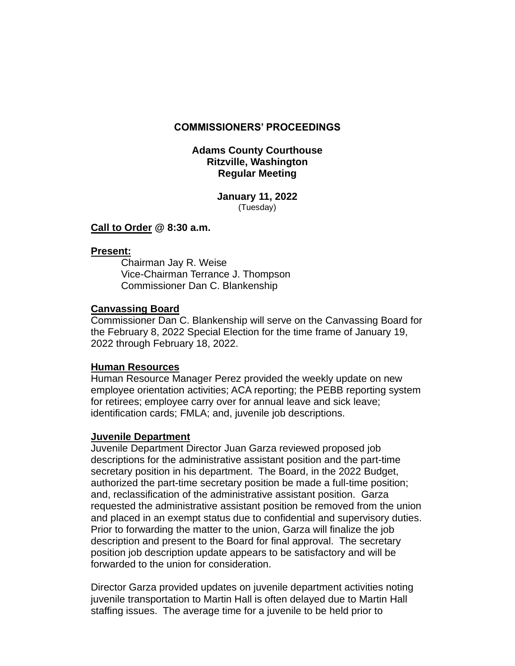## **COMMISSIONERS' PROCEEDINGS**

## **Adams County Courthouse Ritzville, Washington Regular Meeting**

**January 11, 2022** (Tuesday)

### **Call to Order @ 8:30 a.m.**

#### **Present:**

Chairman Jay R. Weise Vice-Chairman Terrance J. Thompson Commissioner Dan C. Blankenship

### **Canvassing Board**

Commissioner Dan C. Blankenship will serve on the Canvassing Board for the February 8, 2022 Special Election for the time frame of January 19, 2022 through February 18, 2022.

### **Human Resources**

Human Resource Manager Perez provided the weekly update on new employee orientation activities; ACA reporting; the PEBB reporting system for retirees; employee carry over for annual leave and sick leave; identification cards; FMLA; and, juvenile job descriptions.

#### **Juvenile Department**

Juvenile Department Director Juan Garza reviewed proposed job descriptions for the administrative assistant position and the part-time secretary position in his department. The Board, in the 2022 Budget, authorized the part-time secretary position be made a full-time position; and, reclassification of the administrative assistant position. Garza requested the administrative assistant position be removed from the union and placed in an exempt status due to confidential and supervisory duties. Prior to forwarding the matter to the union, Garza will finalize the job description and present to the Board for final approval. The secretary position job description update appears to be satisfactory and will be forwarded to the union for consideration.

Director Garza provided updates on juvenile department activities noting juvenile transportation to Martin Hall is often delayed due to Martin Hall staffing issues. The average time for a juvenile to be held prior to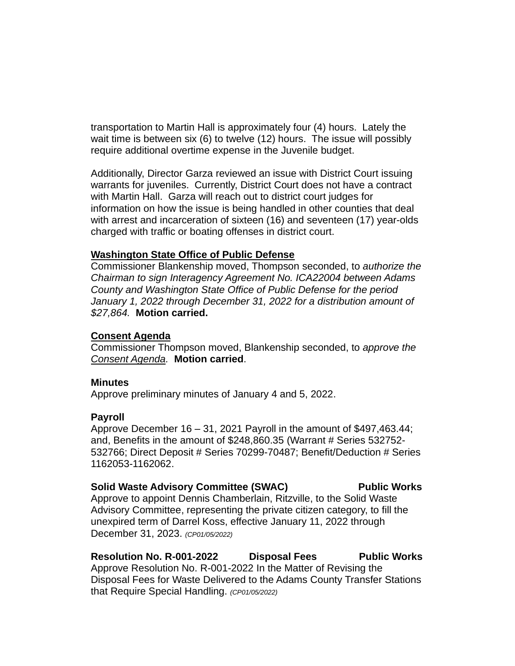transportation to Martin Hall is approximately four (4) hours. Lately the wait time is between six (6) to twelve (12) hours. The issue will possibly require additional overtime expense in the Juvenile budget.

Additionally, Director Garza reviewed an issue with District Court issuing warrants for juveniles. Currently, District Court does not have a contract with Martin Hall. Garza will reach out to district court judges for information on how the issue is being handled in other counties that deal with arrest and incarceration of sixteen (16) and seventeen (17) year-olds charged with traffic or boating offenses in district court.

## **Washington State Office of Public Defense**

Commissioner Blankenship moved, Thompson seconded, to *authorize the Chairman to sign Interagency Agreement No. ICA22004 between Adams County and Washington State Office of Public Defense for the period January 1, 2022 through December 31, 2022 for a distribution amount of \$27,864.* **Motion carried.**

# **Consent Agenda**

Commissioner Thompson moved, Blankenship seconded, to *approve the Consent Agenda.* **Motion carried**.

### **Minutes**

Approve preliminary minutes of January 4 and 5, 2022.

# **Payroll**

Approve December 16 – 31, 2021 Payroll in the amount of \$497,463.44; and, Benefits in the amount of \$248,860.35 (Warrant # Series 532752- 532766; Direct Deposit # Series 70299-70487; Benefit/Deduction # Series 1162053-1162062.

# **Solid Waste Advisory Committee (SWAC) Public Works**

Approve to appoint Dennis Chamberlain, Ritzville, to the Solid Waste Advisory Committee, representing the private citizen category, to fill the unexpired term of Darrel Koss, effective January 11, 2022 through December 31, 2023. *(CP01/05/2022)*

**Resolution No. R-001-2022 Disposal Fees Public Works** Approve Resolution No. R-001-2022 In the Matter of Revising the Disposal Fees for Waste Delivered to the Adams County Transfer Stations that Require Special Handling. *(CP01/05/2022)*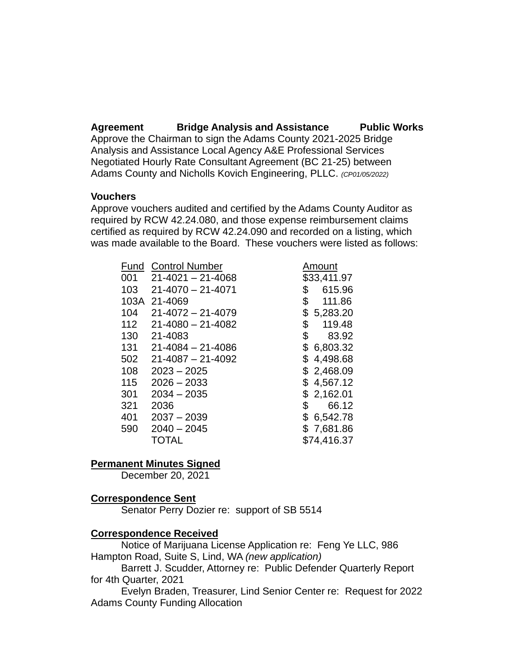**Agreement Bridge Analysis and Assistance Public Works**

Approve the Chairman to sign the Adams County 2021-2025 Bridge Analysis and Assistance Local Agency A&E Professional Services Negotiated Hourly Rate Consultant Agreement (BC 21-25) between Adams County and Nicholls Kovich Engineering, PLLC. *(CP01/05/2022)*

## **Vouchers**

Approve vouchers audited and certified by the Adams County Auditor as required by RCW 42.24.080, and those expense reimbursement claims certified as required by RCW 42.24.090 and recorded on a listing, which was made available to the Board. These vouchers were listed as follows:

|     | <b>Fund Control Number</b>        | Amount         |
|-----|-----------------------------------|----------------|
|     | $001$ 21-4021 - 21-4068           | \$33,411.97    |
|     | $103$ $21 - 4070 - 21 - 4071$     | \$<br>615.96   |
|     | 103A 21-4069                      | \$<br>111.86   |
|     | $104$ $21 - 4072 - 21 - 4079$     | \$5,283.20     |
|     | $112 \quad 21 - 4080 - 21 - 4082$ | \$<br>119.48   |
| 130 | 21-4083                           | \$<br>83.92    |
|     | $131 \quad 21 - 4084 - 21 - 4086$ | \$<br>6,803.32 |
|     | $502$ $21 - 4087 - 21 - 4092$     | \$<br>4,498.68 |
| 108 | $2023 - 2025$                     | \$<br>2,468.09 |
| 115 | $2026 - 2033$                     | \$<br>4,567.12 |
| 301 | $2034 - 2035$                     | \$2,162.01     |
| 321 | 2036                              | \$<br>66.12    |
| 401 | $2037 - 2039$                     | \$6,542.78     |
| 590 | $2040 - 2045$                     | \$7,681.86     |
|     | <b>TOTAL</b>                      | \$74,416.37    |
|     |                                   |                |

Amount \$33,411.97  $$615.96$  $$ 111.86$  $$5,283.20$  $$119.48$  $$6,803.32$  $$4,498.68$  $$2,468.09$  $$4,567.12$  $$2,162.01$  $$6,542.78$  $$7,681.86$  $$74,416.37$ 

# **Permanent Minutes Signed**

December 20, 2021

### **Correspondence Sent**

Senator Perry Dozier re: support of SB 5514

# **Correspondence Received**

Notice of Marijuana License Application re: Feng Ye LLC, 986 Hampton Road, Suite S, Lind, WA *(new application)*

Barrett J. Scudder, Attorney re: Public Defender Quarterly Report for 4th Quarter, 2021

Evelyn Braden, Treasurer, Lind Senior Center re: Request for 2022 Adams County Funding Allocation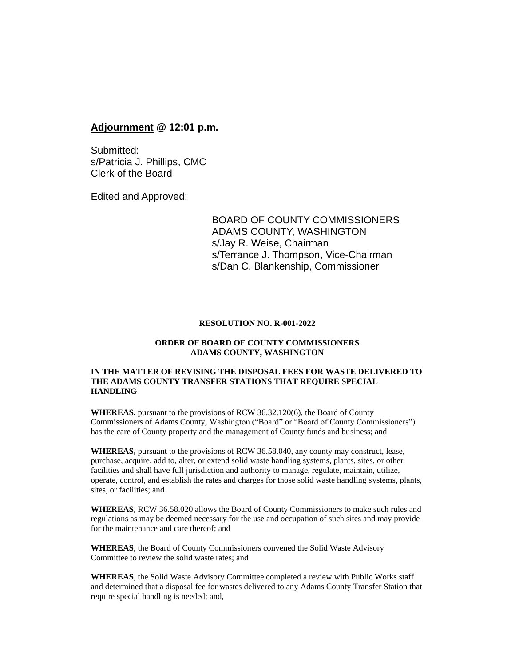#### **Adjournment @ 12:01 p.m.**

Submitted: s/Patricia J. Phillips, CMC Clerk of the Board

Edited and Approved:

BOARD OF COUNTY COMMISSIONERS ADAMS COUNTY, WASHINGTON s/Jay R. Weise, Chairman s/Terrance J. Thompson, Vice-Chairman s/Dan C. Blankenship, Commissioner

#### **RESOLUTION NO. R-001-2022**

#### **ORDER OF BOARD OF COUNTY COMMISSIONERS ADAMS COUNTY, WASHINGTON**

#### **IN THE MATTER OF REVISING THE DISPOSAL FEES FOR WASTE DELIVERED TO THE ADAMS COUNTY TRANSFER STATIONS THAT REQUIRE SPECIAL HANDLING**

**WHEREAS,** pursuant to the provisions of RCW 36.32.120(6), the Board of County Commissioners of Adams County, Washington ("Board" or "Board of County Commissioners") has the care of County property and the management of County funds and business; and

**WHEREAS,** pursuant to the provisions of RCW 36.58.040, any county may construct, lease, purchase, acquire, add to, alter, or extend solid waste handling systems, plants, sites, or other facilities and shall have full jurisdiction and authority to manage, regulate, maintain, utilize, operate, control, and establish the rates and charges for those solid waste handling systems, plants, sites, or facilities; and

**WHEREAS,** RCW 36.58.020 allows the Board of County Commissioners to make such rules and regulations as may be deemed necessary for the use and occupation of such sites and may provide for the maintenance and care thereof; and

**WHEREAS**, the Board of County Commissioners convened the Solid Waste Advisory Committee to review the solid waste rates; and

**WHEREAS**, the Solid Waste Advisory Committee completed a review with Public Works staff and determined that a disposal fee for wastes delivered to any Adams County Transfer Station that require special handling is needed; and,